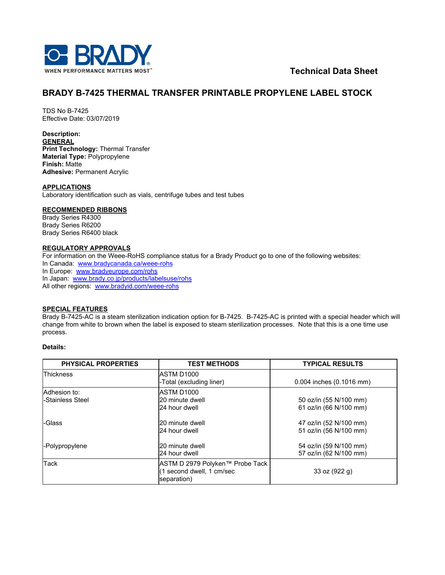

**Technical Data Sheet**

# **BRADY B-7425 THERMAL TRANSFER PRINTABLE PROPYLENE LABEL STOCK**

TDS No B-7425 Effective Date: 03/07/2019

**Description: GENERAL Print Technology:** Thermal Transfer **Material Type:** Polypropylene **Finish:** Matte **Adhesive:** Permanent Acrylic

**APPLICATIONS**

Laboratory identification such as vials, centrifuge tubes and test tubes

# **RECOMMENDED RIBBONS**

Brady Series R4300 Brady Series R6200 Brady Series R6400 black

#### **REGULATORY APPROVALS**

For information on the Weee-RoHS compliance status for a Brady Product go to one of the following websites: In Canada: [www.bradycanada.ca/weee-rohs](http://www.bradycanada.ca/weee-rohs) In Europe: [www.bradyeurope.com/rohs](http://www.bradyeurope.com/rohs) In Japan: www[.brady.co.jp/products/labelsuse/rohs](https://brady.co.jp/products/labelsuse/rohs) All other regions: [www.bradyid.com/weee-rohs](http://www.bradyid.com/weee-rohs)

# **SPECIAL FEATURES**

Brady B-7425-AC is a steam sterilization indication option for B-7425. B-7425-AC is printed with a special header which will change from white to brown when the label is exposed to steam sterilization processes. Note that this is a one time use process.

# **Details:**

| <b>PHYSICAL PROPERTIES</b>       | <b>TEST METHODS</b>                                                         | <b>TYPICAL RESULTS</b>                           |
|----------------------------------|-----------------------------------------------------------------------------|--------------------------------------------------|
| <b>Thickness</b>                 | ASTM D1000<br>-Total (excluding liner)                                      | 0.004 inches (0.1016 mm)                         |
| Adhesion to:<br>-Stainless Steel | ASTM D1000<br>20 minute dwell<br>24 hour dwell                              | 50 oz/in (55 N/100 mm)<br>61 oz/in (66 N/100 mm) |
| -Glass                           | 20 minute dwell<br>24 hour dwell                                            | 47 oz/in (52 N/100 mm)<br>51 oz/in (56 N/100 mm) |
| -Polypropylene                   | 20 minute dwell<br>24 hour dwell                                            | 54 oz/in (59 N/100 mm)<br>57 oz/in (62 N/100 mm) |
| <b>Tack</b>                      | ASTM D 2979 Polyken™ Probe Tack<br>(1 second dwell, 1 cm/sec<br>separation) | 33 oz (922 g)                                    |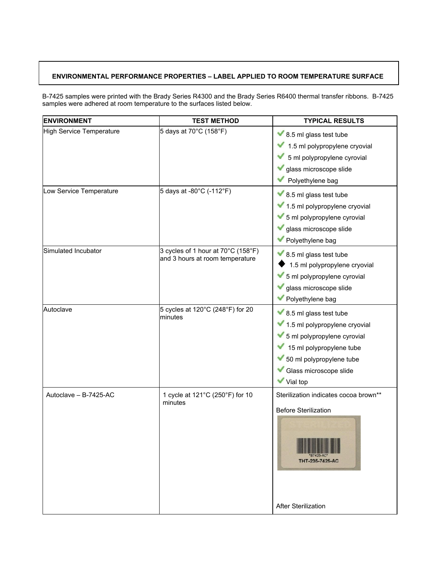# **ENVIRONMENTAL PERFORMANCE PROPERTIES – LABEL APPLIED TO ROOM TEMPERATURE SURFACE**

B-7425 samples were printed with the Brady Series R4300 and the Brady Series R6400 thermal transfer ribbons. B-7425 samples were adhered at room temperature to the surfaces listed below.

| <b>ENVIRONMENT</b>              | <b>TEST METHOD</b>                                                    | <b>TYPICAL RESULTS</b>                                                                                                                                                                                     |
|---------------------------------|-----------------------------------------------------------------------|------------------------------------------------------------------------------------------------------------------------------------------------------------------------------------------------------------|
| <b>High Service Temperature</b> | 5 days at 70°C (158°F)                                                | $\blacktriangleright$ 8.5 ml glass test tube<br>1.5 ml polypropylene cryovial<br>5 ml polypropylene cyrovial<br>glass microscope slide<br>Polyethylene bag                                                 |
| Low Service Temperature         | 5 days at -80°C (-112°F)                                              | $\blacktriangleright$ 8.5 ml glass test tube<br>1.5 ml polypropylene cryovial<br>5 ml polypropylene cyrovial<br>glass microscope slide<br>Polyethylene bag                                                 |
| Simulated Incubator             | 3 cycles of 1 hour at 70°C (158°F)<br>and 3 hours at room temperature | $\blacktriangleright$ 8.5 ml glass test tube<br>1.5 ml polypropylene cryovial<br>5 ml polypropylene cyrovial<br>glass microscope slide<br>Polyethylene bag                                                 |
| Autoclave                       | 5 cycles at 120°C (248°F) for 20<br>minutes                           | $\blacktriangleright$ 8.5 ml glass test tube<br>1.5 ml polypropylene cryovial<br>5 ml polypropylene cyrovial<br>15 ml polypropylene tube<br>50 ml polypropylene tube<br>Glass microscope slide<br>Vial top |
| Autoclave - B-7425-AC           | 1 cycle at 121°C (250°F) for 10<br>minutes                            | Sterilization indicates cocoa brown**<br><b>Before Sterilization</b><br>THT-235-7425-AC<br><b>After Sterilization</b>                                                                                      |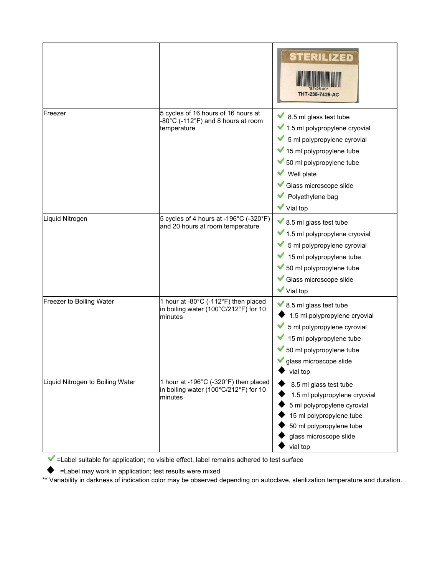|                                  |                                                                                           | STERILIZED<br>THT-235-7425-AC                                                                                                                                                                                          |
|----------------------------------|-------------------------------------------------------------------------------------------|------------------------------------------------------------------------------------------------------------------------------------------------------------------------------------------------------------------------|
| Freezer                          | 5 cycles of 16 hours of 16 hours at<br>-80°C (-112°F) and 8 hours at room<br>temperature  | 8.5 ml glass test tube<br>1.5 ml polypropylene cryovial<br>5 ml polypropylene cyrovial<br>15 ml polypropylene tube<br>50 ml polypropylene tube<br>Well plate<br>Glass microscope slide<br>Polyethylene bag<br>Vial top |
| Liquid Nitrogen                  | 5 cycles of 4 hours at -196°C (-320°F)<br>and 20 hours at room temperature                | ◆ 8.5 ml glass test tube<br>1.5 ml polypropylene cryovial<br>5 ml polypropylene cyrovial<br>15 ml polypropylene tube<br>50 ml polypropylene tube<br>Glass microscope slide<br>Vial top                                 |
| Freezer to Boiling Water         | 1 hour at -80°C (-112°F) then placed<br>in boiling water (100°C/212°F) for 10<br>minutes  | $\blacktriangleright$ 8.5 ml glass test tube<br>1.5 ml polypropylene cryovial<br>5 ml polypropylene cyrovial<br>15 ml polypropylene tube<br>50 ml polypropylene tube<br>glass microscope slide<br>vial top             |
| Liquid Nitrogen to Boiling Water | 1 hour at -196°C (-320°F) then placed<br>in boiling water (100°C/212°F) for 10<br>minutes | 8.5 ml glass test tube<br>1.5 ml polypropylene cryovial<br>5 ml polypropylene cyrovial<br>15 ml polypropylene tube<br>50 ml polypropylene tube<br>glass microscope slide<br>vial top                                   |

 $\blacktriangleright$  =Label suitable for application; no visible effect, label remains adhered to test surface

=Label may work in application; test results were mixed

\*\* Variability in darkness of indication color may be observed depending on autoclave, sterilization temperature and duration.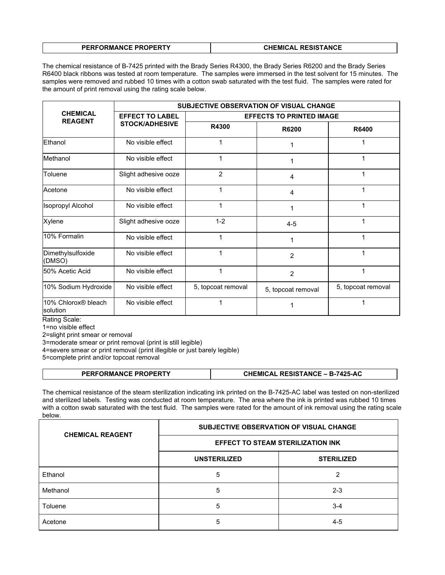| <b>PERFORMANCE PROPERTY</b> | <b>CHEMICAL RESISTANCE</b> |
|-----------------------------|----------------------------|

The chemical resistance of B-7425 printed with the Brady Series R4300, the Brady Series R6200 and the Brady Series R6400 black ribbons was tested at room temperature. The samples were immersed in the test solvent for 15 minutes. The samples were removed and rubbed 10 times with a cotton swab saturated with the test fluid. The samples were rated for the amount of print removal using the rating scale below.

|                                   | <b>SUBJECTIVE OBSERVATION OF VISUAL CHANGE</b> |                                 |                    |                    |
|-----------------------------------|------------------------------------------------|---------------------------------|--------------------|--------------------|
| <b>CHEMICAL</b><br><b>REAGENT</b> | <b>EFFECT TO LABEL</b>                         | <b>EFFECTS TO PRINTED IMAGE</b> |                    |                    |
|                                   | <b>STOCK/ADHESIVE</b>                          | R4300                           | R6200              | R6400              |
| Ethanol                           | No visible effect                              |                                 |                    |                    |
| Methanol                          | No visible effect                              | 1                               |                    | 1                  |
| Toluene                           | Slight adhesive ooze                           | 2                               | 4                  | 1                  |
| Acetone                           | No visible effect                              | 1                               | 4                  |                    |
| <b>Isopropyl Alcohol</b>          | No visible effect                              | 1                               | 1                  | 1                  |
| Xylene                            | Slight adhesive ooze                           | $1 - 2$                         | $4 - 5$            | 1                  |
| 10% Formalin                      | No visible effect                              |                                 | 1                  |                    |
| Dimethylsulfoxide<br>(DMSO)       | No visible effect                              |                                 | $\overline{2}$     |                    |
| l50% Acetic Acid                  | No visible effect                              | 1                               | $\overline{2}$     | 1                  |
| 10% Sodium Hydroxide              | No visible effect                              | 5, topcoat removal              | 5, topcoat removal | 5, topcoat removal |
| 10% Chlorox® bleach<br>solution   | No visible effect                              |                                 |                    |                    |

Rating Scale:

1=no visible effect

2=slight print smear or removal

3=moderate smear or print removal (print is still legible)

4=severe smear or print removal (print illegible or just barely legible)

5=complete print and/or topcoat removal

| <b>CHEMICAL RESISTANCE – B-7425-AC</b><br><b>PERFORMANCE PROPERTY</b> |
|-----------------------------------------------------------------------|
|-----------------------------------------------------------------------|

The chemical resistance of the steam sterilization indicating ink printed on the B-7425-AC label was tested on non-sterilized and sterilized labels. Testing was conducted at room temperature. The area where the ink is printed was rubbed 10 times with a cotton swab saturated with the test fluid. The samples were rated for the amount of ink removal using the rating scale below.

| <b>CHEMICAL REAGENT</b> | SUBJECTIVE OBSERVATION OF VISUAL CHANGE  |                   |  |
|-------------------------|------------------------------------------|-------------------|--|
|                         | <b>EFFECT TO STEAM STERILIZATION INK</b> |                   |  |
|                         | <b>UNSTERILIZED</b>                      | <b>STERILIZED</b> |  |
| Ethanol                 | 5                                        | 2                 |  |
| Methanol                | 5                                        | $2 - 3$           |  |
| Toluene                 | 5                                        | $3 - 4$           |  |
| Acetone                 | 5                                        | $4-5$             |  |